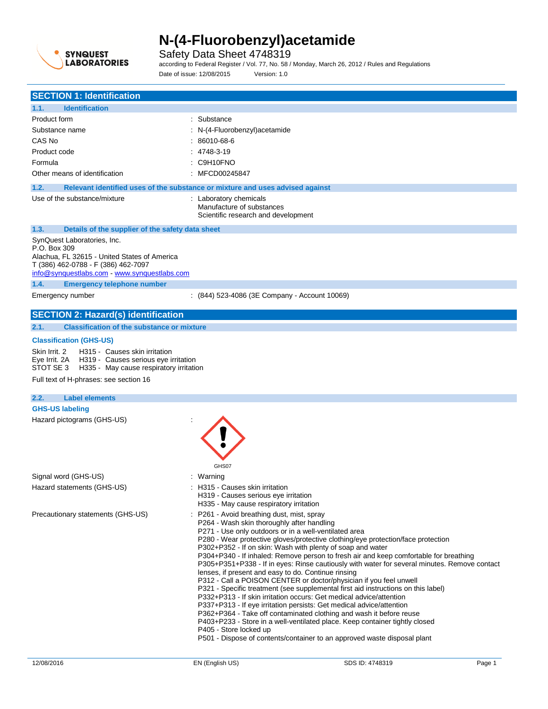

Safety Data Sheet 4748319

according to Federal Register / Vol. 77, No. 58 / Monday, March 26, 2012 / Rules and Regulations Date of issue: 12/08/2015 Version: 1.0

| <b>SECTION 1: Identification</b>                                                                                                                                                   |                                                                                                                                                                                                                                                                                                                                                                                                                                                                                                                                                                                                                                                                                                                                                                                                                                                                                                                                                                                                                                                                                                                           |  |  |
|------------------------------------------------------------------------------------------------------------------------------------------------------------------------------------|---------------------------------------------------------------------------------------------------------------------------------------------------------------------------------------------------------------------------------------------------------------------------------------------------------------------------------------------------------------------------------------------------------------------------------------------------------------------------------------------------------------------------------------------------------------------------------------------------------------------------------------------------------------------------------------------------------------------------------------------------------------------------------------------------------------------------------------------------------------------------------------------------------------------------------------------------------------------------------------------------------------------------------------------------------------------------------------------------------------------------|--|--|
| 1.1.<br><b>Identification</b>                                                                                                                                                      |                                                                                                                                                                                                                                                                                                                                                                                                                                                                                                                                                                                                                                                                                                                                                                                                                                                                                                                                                                                                                                                                                                                           |  |  |
| Product form                                                                                                                                                                       | : Substance                                                                                                                                                                                                                                                                                                                                                                                                                                                                                                                                                                                                                                                                                                                                                                                                                                                                                                                                                                                                                                                                                                               |  |  |
| Substance name                                                                                                                                                                     | : N-(4-Fluorobenzyl) acetamide                                                                                                                                                                                                                                                                                                                                                                                                                                                                                                                                                                                                                                                                                                                                                                                                                                                                                                                                                                                                                                                                                            |  |  |
| CAS No                                                                                                                                                                             | : 86010-68-6                                                                                                                                                                                                                                                                                                                                                                                                                                                                                                                                                                                                                                                                                                                                                                                                                                                                                                                                                                                                                                                                                                              |  |  |
| Product code                                                                                                                                                                       | $: 4748-3-19$                                                                                                                                                                                                                                                                                                                                                                                                                                                                                                                                                                                                                                                                                                                                                                                                                                                                                                                                                                                                                                                                                                             |  |  |
|                                                                                                                                                                                    |                                                                                                                                                                                                                                                                                                                                                                                                                                                                                                                                                                                                                                                                                                                                                                                                                                                                                                                                                                                                                                                                                                                           |  |  |
| Formula                                                                                                                                                                            | : C9H10FNO                                                                                                                                                                                                                                                                                                                                                                                                                                                                                                                                                                                                                                                                                                                                                                                                                                                                                                                                                                                                                                                                                                                |  |  |
| Other means of identification                                                                                                                                                      | : MFCD00245847                                                                                                                                                                                                                                                                                                                                                                                                                                                                                                                                                                                                                                                                                                                                                                                                                                                                                                                                                                                                                                                                                                            |  |  |
| 1.2.                                                                                                                                                                               | Relevant identified uses of the substance or mixture and uses advised against                                                                                                                                                                                                                                                                                                                                                                                                                                                                                                                                                                                                                                                                                                                                                                                                                                                                                                                                                                                                                                             |  |  |
| Use of the substance/mixture                                                                                                                                                       | : Laboratory chemicals<br>Manufacture of substances<br>Scientific research and development                                                                                                                                                                                                                                                                                                                                                                                                                                                                                                                                                                                                                                                                                                                                                                                                                                                                                                                                                                                                                                |  |  |
| 1.3.<br>Details of the supplier of the safety data sheet                                                                                                                           |                                                                                                                                                                                                                                                                                                                                                                                                                                                                                                                                                                                                                                                                                                                                                                                                                                                                                                                                                                                                                                                                                                                           |  |  |
| SynQuest Laboratories, Inc.<br>P.O. Box 309<br>Alachua, FL 32615 - United States of America<br>T (386) 462-0788 - F (386) 462-7097<br>info@synquestlabs.com - www.synquestlabs.com |                                                                                                                                                                                                                                                                                                                                                                                                                                                                                                                                                                                                                                                                                                                                                                                                                                                                                                                                                                                                                                                                                                                           |  |  |
| 1.4.<br><b>Emergency telephone number</b>                                                                                                                                          |                                                                                                                                                                                                                                                                                                                                                                                                                                                                                                                                                                                                                                                                                                                                                                                                                                                                                                                                                                                                                                                                                                                           |  |  |
| Emergency number                                                                                                                                                                   | : (844) 523-4086 (3E Company - Account 10069)                                                                                                                                                                                                                                                                                                                                                                                                                                                                                                                                                                                                                                                                                                                                                                                                                                                                                                                                                                                                                                                                             |  |  |
| <b>SECTION 2: Hazard(s) identification</b>                                                                                                                                         |                                                                                                                                                                                                                                                                                                                                                                                                                                                                                                                                                                                                                                                                                                                                                                                                                                                                                                                                                                                                                                                                                                                           |  |  |
| 2.1.<br><b>Classification of the substance or mixture</b>                                                                                                                          |                                                                                                                                                                                                                                                                                                                                                                                                                                                                                                                                                                                                                                                                                                                                                                                                                                                                                                                                                                                                                                                                                                                           |  |  |
|                                                                                                                                                                                    |                                                                                                                                                                                                                                                                                                                                                                                                                                                                                                                                                                                                                                                                                                                                                                                                                                                                                                                                                                                                                                                                                                                           |  |  |
| <b>Classification (GHS-US)</b>                                                                                                                                                     |                                                                                                                                                                                                                                                                                                                                                                                                                                                                                                                                                                                                                                                                                                                                                                                                                                                                                                                                                                                                                                                                                                                           |  |  |
| H315 - Causes skin irritation<br>Skin Irrit. 2<br>Eye Irrit. 2A H319 - Causes serious eye irritation<br>STOT SE 3 H335 - May cause respiratory irritation                          |                                                                                                                                                                                                                                                                                                                                                                                                                                                                                                                                                                                                                                                                                                                                                                                                                                                                                                                                                                                                                                                                                                                           |  |  |
| Full text of H-phrases: see section 16                                                                                                                                             |                                                                                                                                                                                                                                                                                                                                                                                                                                                                                                                                                                                                                                                                                                                                                                                                                                                                                                                                                                                                                                                                                                                           |  |  |
|                                                                                                                                                                                    |                                                                                                                                                                                                                                                                                                                                                                                                                                                                                                                                                                                                                                                                                                                                                                                                                                                                                                                                                                                                                                                                                                                           |  |  |
| 2.2.<br><b>Label elements</b>                                                                                                                                                      |                                                                                                                                                                                                                                                                                                                                                                                                                                                                                                                                                                                                                                                                                                                                                                                                                                                                                                                                                                                                                                                                                                                           |  |  |
| <b>GHS-US labeling</b>                                                                                                                                                             |                                                                                                                                                                                                                                                                                                                                                                                                                                                                                                                                                                                                                                                                                                                                                                                                                                                                                                                                                                                                                                                                                                                           |  |  |
| Hazard pictograms (GHS-US)                                                                                                                                                         | GHS07                                                                                                                                                                                                                                                                                                                                                                                                                                                                                                                                                                                                                                                                                                                                                                                                                                                                                                                                                                                                                                                                                                                     |  |  |
| Signal word (GHS-US)                                                                                                                                                               | : Warning                                                                                                                                                                                                                                                                                                                                                                                                                                                                                                                                                                                                                                                                                                                                                                                                                                                                                                                                                                                                                                                                                                                 |  |  |
| Hazard statements (GHS-US)                                                                                                                                                         | H315 - Causes skin irritation<br>H319 - Causes serious eye irritation<br>H335 - May cause respiratory irritation                                                                                                                                                                                                                                                                                                                                                                                                                                                                                                                                                                                                                                                                                                                                                                                                                                                                                                                                                                                                          |  |  |
| Precautionary statements (GHS-US)                                                                                                                                                  | : P261 - Avoid breathing dust, mist, spray<br>P264 - Wash skin thoroughly after handling<br>P271 - Use only outdoors or in a well-ventilated area<br>P280 - Wear protective gloves/protective clothing/eye protection/face protection<br>P302+P352 - If on skin: Wash with plenty of soap and water<br>P304+P340 - If inhaled: Remove person to fresh air and keep comfortable for breathing<br>P305+P351+P338 - If in eyes: Rinse cautiously with water for several minutes. Remove contact<br>lenses, if present and easy to do. Continue rinsing<br>P312 - Call a POISON CENTER or doctor/physician if you feel unwell<br>P321 - Specific treatment (see supplemental first aid instructions on this label)<br>P332+P313 - If skin irritation occurs: Get medical advice/attention<br>P337+P313 - If eye irritation persists: Get medical advice/attention<br>P362+P364 - Take off contaminated clothing and wash it before reuse<br>P403+P233 - Store in a well-ventilated place. Keep container tightly closed<br>P405 - Store locked up<br>P501 - Dispose of contents/container to an approved waste disposal plant |  |  |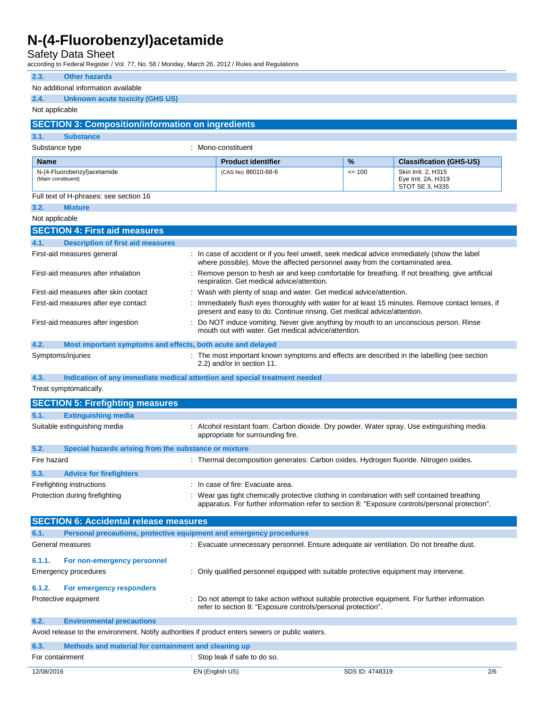Safety Data Sheet

according to Federal Register / Vol. 77, No. 58 / Monday, March 26, 2012 / Rules and Regulations

| 2.3.<br><b>Other hazards</b>                                                                    |                                                                                                                                                                                                 |  |         |                                                                                                 |
|-------------------------------------------------------------------------------------------------|-------------------------------------------------------------------------------------------------------------------------------------------------------------------------------------------------|--|---------|-------------------------------------------------------------------------------------------------|
| No additional information available                                                             |                                                                                                                                                                                                 |  |         |                                                                                                 |
| 2.4.<br>Unknown acute toxicity (GHS US)                                                         |                                                                                                                                                                                                 |  |         |                                                                                                 |
| Not applicable                                                                                  |                                                                                                                                                                                                 |  |         |                                                                                                 |
| <b>SECTION 3: Composition/information on ingredients</b>                                        |                                                                                                                                                                                                 |  |         |                                                                                                 |
| 3.1.<br><b>Substance</b>                                                                        |                                                                                                                                                                                                 |  |         |                                                                                                 |
| Substance type                                                                                  | : Mono-constituent                                                                                                                                                                              |  |         |                                                                                                 |
| <b>Name</b>                                                                                     | <b>Product identifier</b>                                                                                                                                                                       |  | %       | <b>Classification (GHS-US)</b>                                                                  |
| N-(4-Fluorobenzyl) acetamide<br>(Main constituent)                                              | (CAS No) 86010-68-6                                                                                                                                                                             |  | $= 100$ | Skin Irrit. 2, H315<br>Eye Irrit. 2A, H319<br>STOT SE 3, H335                                   |
| Full text of H-phrases: see section 16                                                          |                                                                                                                                                                                                 |  |         |                                                                                                 |
| 3.2.<br><b>Mixture</b>                                                                          |                                                                                                                                                                                                 |  |         |                                                                                                 |
| Not applicable                                                                                  |                                                                                                                                                                                                 |  |         |                                                                                                 |
| <b>SECTION 4: First aid measures</b>                                                            |                                                                                                                                                                                                 |  |         |                                                                                                 |
| 4.1.<br><b>Description of first aid measures</b>                                                |                                                                                                                                                                                                 |  |         |                                                                                                 |
| First-aid measures general                                                                      | : In case of accident or if you feel unwell, seek medical advice immediately (show the label<br>where possible). Move the affected personnel away from the contaminated area.                   |  |         |                                                                                                 |
| First-aid measures after inhalation                                                             | : Remove person to fresh air and keep comfortable for breathing. If not breathing, give artificial<br>respiration. Get medical advice/attention.                                                |  |         |                                                                                                 |
| First-aid measures after skin contact                                                           | : Wash with plenty of soap and water. Get medical advice/attention.                                                                                                                             |  |         |                                                                                                 |
| First-aid measures after eye contact                                                            | present and easy to do. Continue rinsing. Get medical advice/attention.                                                                                                                         |  |         | Immediately flush eyes thoroughly with water for at least 15 minutes. Remove contact lenses, if |
| First-aid measures after ingestion                                                              | Do NOT induce vomiting. Never give anything by mouth to an unconscious person. Rinse<br>mouth out with water. Get medical advice/attention.                                                     |  |         |                                                                                                 |
| 4.2.<br>Most important symptoms and effects, both acute and delayed                             |                                                                                                                                                                                                 |  |         |                                                                                                 |
| Symptoms/injuries                                                                               | : The most important known symptoms and effects are described in the labelling (see section<br>2.2) and/or in section 11.                                                                       |  |         |                                                                                                 |
| 4.3.<br>Indication of any immediate medical attention and special treatment needed              |                                                                                                                                                                                                 |  |         |                                                                                                 |
| Treat symptomatically.                                                                          |                                                                                                                                                                                                 |  |         |                                                                                                 |
| <b>SECTION 5: Firefighting measures</b>                                                         |                                                                                                                                                                                                 |  |         |                                                                                                 |
| <b>Extinguishing media</b><br>5.1.                                                              |                                                                                                                                                                                                 |  |         |                                                                                                 |
| Suitable extinguishing media                                                                    | : Alcohol resistant foam. Carbon dioxide. Dry powder. Water spray. Use extinguishing media<br>appropriate for surrounding fire.                                                                 |  |         |                                                                                                 |
| 5.2.<br>Special hazards arising from the substance or mixture                                   |                                                                                                                                                                                                 |  |         |                                                                                                 |
| Fire hazard                                                                                     | : Thermal decomposition generates: Carbon oxides. Hydrogen fluoride. Nitrogen oxides.                                                                                                           |  |         |                                                                                                 |
| <b>Advice for firefighters</b><br>5.3.                                                          |                                                                                                                                                                                                 |  |         |                                                                                                 |
| Firefighting instructions                                                                       | : In case of fire: Evacuate area.                                                                                                                                                               |  |         |                                                                                                 |
| Protection during firefighting                                                                  | : Wear gas tight chemically protective clothing in combination with self contained breathing<br>apparatus. For further information refer to section 8: "Exposure controls/personal protection". |  |         |                                                                                                 |
| <b>SECTION 6: Accidental release measures</b>                                                   |                                                                                                                                                                                                 |  |         |                                                                                                 |
| Personal precautions, protective equipment and emergency procedures<br>6.1.                     |                                                                                                                                                                                                 |  |         |                                                                                                 |
| General measures                                                                                | : Evacuate unnecessary personnel. Ensure adequate air ventilation. Do not breathe dust.                                                                                                         |  |         |                                                                                                 |
| 6.1.1.<br>For non-emergency personnel                                                           |                                                                                                                                                                                                 |  |         |                                                                                                 |
| Emergency procedures                                                                            | : Only qualified personnel equipped with suitable protective equipment may intervene.                                                                                                           |  |         |                                                                                                 |
| 6.1.2.<br>For emergency responders                                                              |                                                                                                                                                                                                 |  |         |                                                                                                 |
| Protective equipment                                                                            | : Do not attempt to take action without suitable protective equipment. For further information<br>refer to section 8: "Exposure controls/personal protection".                                  |  |         |                                                                                                 |
| 6.2.<br><b>Environmental precautions</b>                                                        |                                                                                                                                                                                                 |  |         |                                                                                                 |
| Avoid release to the environment. Notify authorities if product enters sewers or public waters. |                                                                                                                                                                                                 |  |         |                                                                                                 |
| 6.3.<br>Methods and material for containment and cleaning up                                    |                                                                                                                                                                                                 |  |         |                                                                                                 |
| For containment                                                                                 | : Stop leak if safe to do so.                                                                                                                                                                   |  |         |                                                                                                 |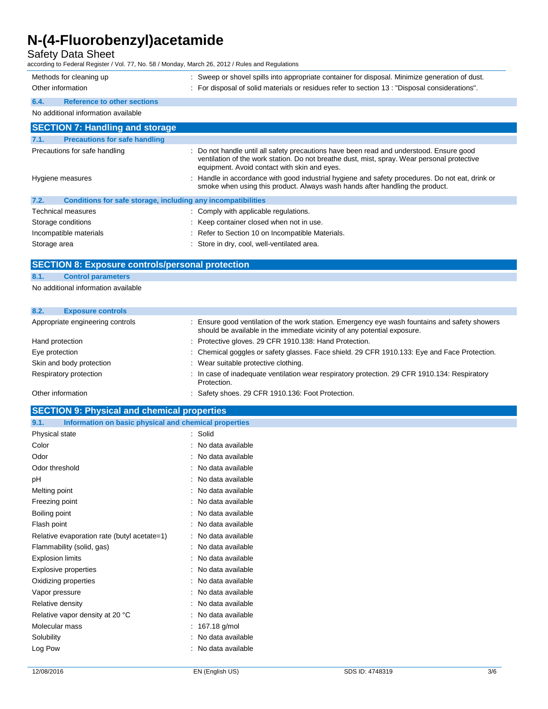# Safety Data Sheet

according to Federal Register / Vol. 77, No. 58 / Monday, March 26, 2012 / Rules and Regulations

|      | Methods for cleaning up<br>Other information | Sweep or shovel spills into appropriate container for disposal. Minimize generation of dust.<br>: For disposal of solid materials or residues refer to section 13: "Disposal considerations". |
|------|----------------------------------------------|-----------------------------------------------------------------------------------------------------------------------------------------------------------------------------------------------|
| 6.4. | <b>Reference to other sections</b>           |                                                                                                                                                                                               |
|      | No additional information available          |                                                                                                                                                                                               |

| <b>SECTION 7: Handling and storage</b>                               |                                                                                                                                                                                                                                        |  |  |
|----------------------------------------------------------------------|----------------------------------------------------------------------------------------------------------------------------------------------------------------------------------------------------------------------------------------|--|--|
| 7.1.<br><b>Precautions for safe handling</b>                         |                                                                                                                                                                                                                                        |  |  |
| Precautions for safe handling                                        | : Do not handle until all safety precautions have been read and understood. Ensure good<br>ventilation of the work station. Do not breathe dust, mist, spray. Wear personal protective<br>equipment. Avoid contact with skin and eyes. |  |  |
| Hygiene measures                                                     | : Handle in accordance with good industrial hygiene and safety procedures. Do not eat, drink or<br>smoke when using this product. Always wash hands after handling the product.                                                        |  |  |
| 7.2.<br>Conditions for safe storage, including any incompatibilities |                                                                                                                                                                                                                                        |  |  |
| <b>Technical measures</b>                                            | : Comply with applicable regulations.                                                                                                                                                                                                  |  |  |
| Storage conditions                                                   | : Keep container closed when not in use.                                                                                                                                                                                               |  |  |
| Incompatible materials                                               | : Refer to Section 10 on Incompatible Materials.                                                                                                                                                                                       |  |  |
| Storage area                                                         | : Store in dry, cool, well-ventilated area.                                                                                                                                                                                            |  |  |

# **SECTION 8: Exposure controls/personal protection**

### **8.1. Control parameters**

No additional information available

| 8.2.<br><b>Exposure controls</b> |                                                                                                                                                                          |
|----------------------------------|--------------------------------------------------------------------------------------------------------------------------------------------------------------------------|
| Appropriate engineering controls | Ensure good ventilation of the work station. Emergency eye wash fountains and safety showers<br>should be available in the immediate vicinity of any potential exposure. |
| Hand protection                  | : Protective gloves. 29 CFR 1910.138: Hand Protection.                                                                                                                   |
| Eye protection                   | : Chemical goggles or safety glasses. Face shield. 29 CFR 1910.133: Eye and Face Protection.                                                                             |
| Skin and body protection         | : Wear suitable protective clothing.                                                                                                                                     |
| Respiratory protection           | : In case of inadequate ventilation wear respiratory protection. 29 CFR 1910.134: Respiratory<br>Protection.                                                             |
| Other information                | : Safety shoes. 29 CFR 1910.136: Foot Protection.                                                                                                                        |

### **SECTION 9: Physical and chemical properties**

| Information on basic physical and chemical properties<br>9.1. |                     |
|---------------------------------------------------------------|---------------------|
| Physical state                                                | : Solid             |
| Color                                                         | : No data available |
| Odor                                                          | : No data available |
| Odor threshold                                                | : No data available |
| pH                                                            | : No data available |
| Melting point                                                 | : No data available |
| Freezing point                                                | : No data available |
| Boiling point                                                 | : No data available |
| Flash point                                                   | : No data available |
| Relative evaporation rate (butyl acetate=1)                   | : No data available |
| Flammability (solid, gas)                                     | : No data available |
| <b>Explosion limits</b>                                       | : No data available |
| <b>Explosive properties</b>                                   | : No data available |
| Oxidizing properties                                          | : No data available |
| Vapor pressure                                                | : No data available |
| Relative density                                              | : No data available |
| Relative vapor density at 20 °C                               | : No data available |
| Molecular mass                                                | : $167.18$ g/mol    |
| Solubility                                                    | : No data available |
| Log Pow                                                       | : No data available |
|                                                               |                     |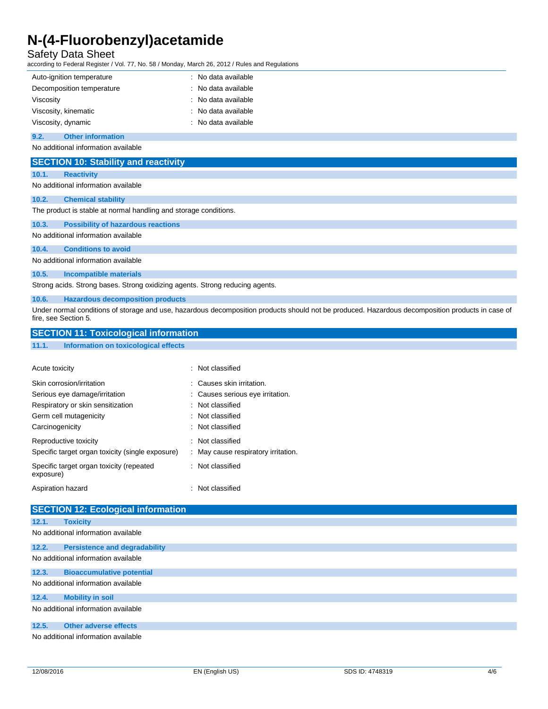## Safety Data Sheet

according to Federal Register / Vol. 77, No. 58 / Monday, March 26, 2012 / Rules and Regulations

| Auto-ignition temperature                                                                                                                                                | : No data available              |  |
|--------------------------------------------------------------------------------------------------------------------------------------------------------------------------|----------------------------------|--|
| Decomposition temperature                                                                                                                                                | No data available                |  |
| Viscosity                                                                                                                                                                | No data available                |  |
| Viscosity, kinematic                                                                                                                                                     | No data available                |  |
| Viscosity, dynamic                                                                                                                                                       | No data available                |  |
| <b>Other information</b><br>9.2.                                                                                                                                         |                                  |  |
| No additional information available                                                                                                                                      |                                  |  |
| <b>SECTION 10: Stability and reactivity</b>                                                                                                                              |                                  |  |
| <b>Reactivity</b><br>10.1.                                                                                                                                               |                                  |  |
| No additional information available                                                                                                                                      |                                  |  |
| 10.2.<br><b>Chemical stability</b>                                                                                                                                       |                                  |  |
| The product is stable at normal handling and storage conditions.                                                                                                         |                                  |  |
| <b>Possibility of hazardous reactions</b><br>10.3.                                                                                                                       |                                  |  |
| No additional information available                                                                                                                                      |                                  |  |
| <b>Conditions to avoid</b><br>10.4.                                                                                                                                      |                                  |  |
| No additional information available                                                                                                                                      |                                  |  |
| 10.5.<br><b>Incompatible materials</b>                                                                                                                                   |                                  |  |
| Strong acids. Strong bases. Strong oxidizing agents. Strong reducing agents.                                                                                             |                                  |  |
| 10.6.<br><b>Hazardous decomposition products</b>                                                                                                                         |                                  |  |
| Under normal conditions of storage and use, hazardous decomposition products should not be produced. Hazardous decomposition products in case of<br>fire, see Section 5. |                                  |  |
| <b>SECTION 11: Toxicological information</b>                                                                                                                             |                                  |  |
| 11.1.<br>Information on toxicological effects                                                                                                                            |                                  |  |
|                                                                                                                                                                          |                                  |  |
| Acute toxicity                                                                                                                                                           | : Not classified                 |  |
| Skin corrosion/irritation                                                                                                                                                | Causes skin irritation.          |  |
| Serious eye damage/irritation                                                                                                                                            | : Causes serious eye irritation. |  |
| Respiratory or skin sensitization                                                                                                                                        | Not classified                   |  |
| Germ cell mutagenicity                                                                                                                                                   | Not classified                   |  |
| Carcinogenicity                                                                                                                                                          | Not classified                   |  |
|                                                                                                                                                                          |                                  |  |

| Reproductive toxicity                                 | . Not classified                    |
|-------------------------------------------------------|-------------------------------------|
| Specific target organ toxicity (single exposure)      |                                     |
|                                                       | : May cause respiratory irritation. |
| Specific target organ toxicity (repeated<br>exposure) | . Not classified                    |

Aspiration hazard **in the set of the set of the set of the set of the set of the set of the set of the set of the set of the set of the set of the set of the set of the set of the set of the set of the set of the set of th** 

|                                     | <b>SECTION 12: Ecological information</b> |  |
|-------------------------------------|-------------------------------------------|--|
| 12.1.                               | <b>Toxicity</b>                           |  |
|                                     | No additional information available       |  |
| 12.2.                               | <b>Persistence and degradability</b>      |  |
|                                     | No additional information available       |  |
| 12.3.                               | <b>Bioaccumulative potential</b>          |  |
| No additional information available |                                           |  |
| 12.4.                               | <b>Mobility in soil</b>                   |  |
|                                     | No additional information available       |  |
| 12.5.                               | <b>Other adverse effects</b>              |  |
|                                     | No additional information available       |  |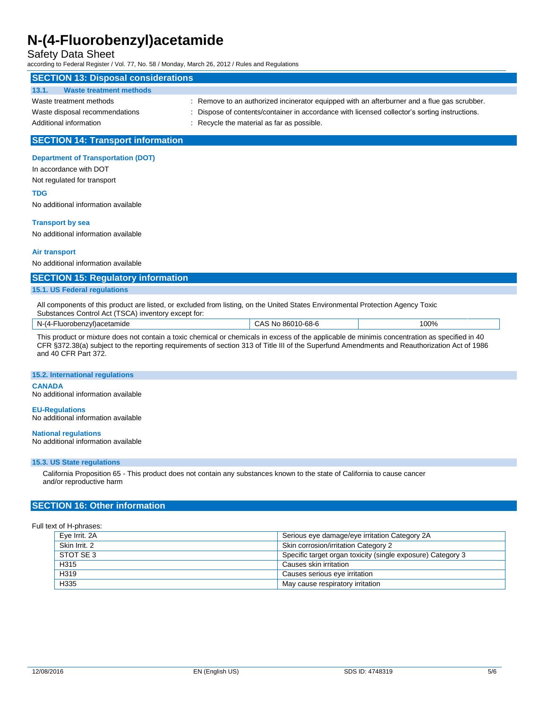### Safety Data Sheet

according to Federal Register / Vol. 77, No. 58 / Monday, March 26, 2012 / Rules and Regulations

# **SECTION 13: Disposal considerations 13.1. Waste treatment methods** Waste treatment methods : Remove to an authorized incinerator equipped with an afterburner and a flue gas scrubber. Waste disposal recommendations : Dispose of contents/container in accordance with licensed collector's sorting instructions.

Additional information **interest in the material as far as possible.** Section and  $\overline{a}$  recycle the material as far as possible.

### **SECTION 14: Transport information**

#### **Department of Transportation (DOT)**

In accordance with DOT Not regulated for transport

#### **TDG**

No additional information available

#### **Transport by sea**

No additional information available

#### **Air transport**

No additional information available

## **SECTION 15: Regulatory information**

### **15.1. US Federal regulations**

All components of this product are listed, or excluded from listing, on the United States Environmental Protection Agency Toxic Substances Control Act (TSCA) inventory except for:

| $N-A$<br>robenzvl)acetamide<br>-Fluor | 86010-68-6<br>-NO<br>5 A C | 100% |
|---------------------------------------|----------------------------|------|
|                                       |                            |      |

This product or mixture does not contain a toxic chemical or chemicals in excess of the applicable de minimis concentration as specified in 40 CFR §372.38(a) subject to the reporting requirements of section 313 of Title III of the Superfund Amendments and Reauthorization Act of 1986 and 40 CFR Part 372.

#### **15.2. International regulations**

#### **CANADA**

No additional information available

#### **EU-Regulations** No additional information available

## **National regulations**

No additional information available

#### **15.3. US State regulations**

California Proposition 65 - This product does not contain any substances known to the state of California to cause cancer and/or reproductive harm

### **SECTION 16: Other information**

Full text of H-phrases:

| Serious eye damage/eye irritation Category 2A<br>Eye Irrit. 2A |                                                             |
|----------------------------------------------------------------|-------------------------------------------------------------|
| Skin Irrit, 2<br>Skin corrosion/irritation Category 2          |                                                             |
| STOT SE 3                                                      | Specific target organ toxicity (single exposure) Category 3 |
| H <sub>315</sub>                                               | Causes skin irritation                                      |
| H319                                                           | Causes serious eye irritation                               |
| H335                                                           | May cause respiratory irritation                            |